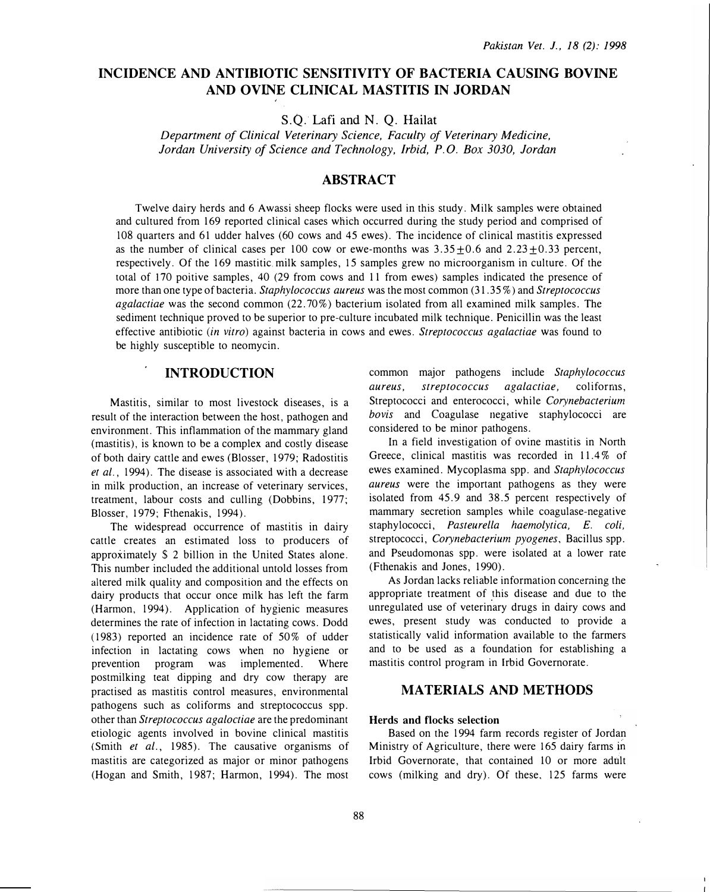# INCIDENCE AND ANTIBIOTIC SENSITIVITY OF BACTERIA CAUSING BOVINE AND OVINE CLINICAL MASTITIS IN JORDAN

S.Q. Lafi and N. Q. Hailat

Department of Clinical Veterinary Science, Faculty of Veterinary Medicine, Jordan University of Science and Technology, Irbid, P. 0. Box 3030, Jordan

# ABSTRACT

Twelve dairy herds and 6 Awassi sheep flocks were used in this study. Milk samples were obtained and cultured from 169 reported clinical cases which occurred during the study period and comprised of 108 quarters and 61 udder halves (60 cows and 45 ewes). The incidence of clinical mastitis expressed as the number of clinical cases per 100 cow or ewe-months was  $3.35\pm0.6$  and  $2.23\pm0.33$  percent, respectively. Of the 169 mastitic. milk samples, 15 samples grew no microorganism in culture. Of the total of 170 poitive samples, 40 (29 from cows and 11 from ewes) samples indicated the presence of more than one type of bacteria. Staphylococcus aureus was the most common (31.35%) and Streptococcus agalactiae was the second common (22. 70%) bacterium isolated from all examined milk samples. The sediment technique proved to be superior to pre-culture incubated milk technique. Penicillin was the least effective antibiotic (in vitro) against bacteria in cows and ewes. Streptococcus agalactiae was found to be highly susceptible to neomycin.

# INTRODUCTION

Mastitis, similar to most livestock diseases, is a result of the interaction between the host, pathogen and environment. This inflammation of the mammary gland (mastitis), is known to be a complex and costly disease of both dairy cattle and ewes (Blosser, 1979; Radostitis et al., 1994). The disease is associated with a decrease in milk production, an increase of veterinary services, treatment, labour costs and culling (Dobbins, 1977; Blosser, 1979; Fthenakis, 1994).

The widespread occurrence of mastitis in dairy cattle creates an estimated loss to producers of approximately \$ 2 billion in the United States alone. This number included the additional untold losses from altered milk quality and composition and the effects on dairy products that occur once milk has left the farm (Harmon, 1994). Application of hygienic measures determines the rate of infection in lactating cows. Dodd (1983) reported an incidence rate of 50% of udder infection in lactating cows when no hygiene or prevention program was implemented. Where postmilking teat dipping and dry cow therapy are practised as mastitis control measures, environmental pathogens such as coliforms and streptococcus spp. other than Streptococcus agaloctiae are the predominant etiologic agents involved in bovine clinical mastitis (Smith et al., 1985). The causative organisms of mastitis are categorized as major or minor pathogens (Hogan and Smith, 1987; Harmon, 1994). The most common major pathogens include Staphylococcus aureus, streptococcus agalactiae, coliforms, Streptococci and enterococci, while Corynebacterium bovis and Coagulase negative staphylococci are considered to be minor pathogens.

In a field investigation of ovine mastitis in North Greece, clinical mastitis was recorded in 11.4% of ewes examined. Mycoplasma spp. and Staphylococcus aureus were the important pathogens as they were isolated from 45.9 and 38.5 percent respectively of mammary secretion samples while coagulase-negative staphylococci, Pasteurella haemolytica, E. coli, streptococci, Corynebacterium pyogenes, Bacillus spp. and Pseudomonas spp. were isolated at a lower rate (Fthenakis and Jones, 1990).

As Jordan lacks reliable information concerning the appropriate treatment of this disease and due to the unregulated use of veterinary drugs in dairy cows and ewes, present study was conducted to provide a statistically valid information available to the farmers and to be used as a foundation for establishing a mastitis control program in Irbid Governorate.

# MATERIALS AND METHODS

## Herds and flocks selection

Based on the 1994 farm records register of Jordan Ministry of Agriculture, there were 165 dairy farms in lrbid Governorate, that contained 10 or more adult cows (milking and dry). Of these, 125 farms were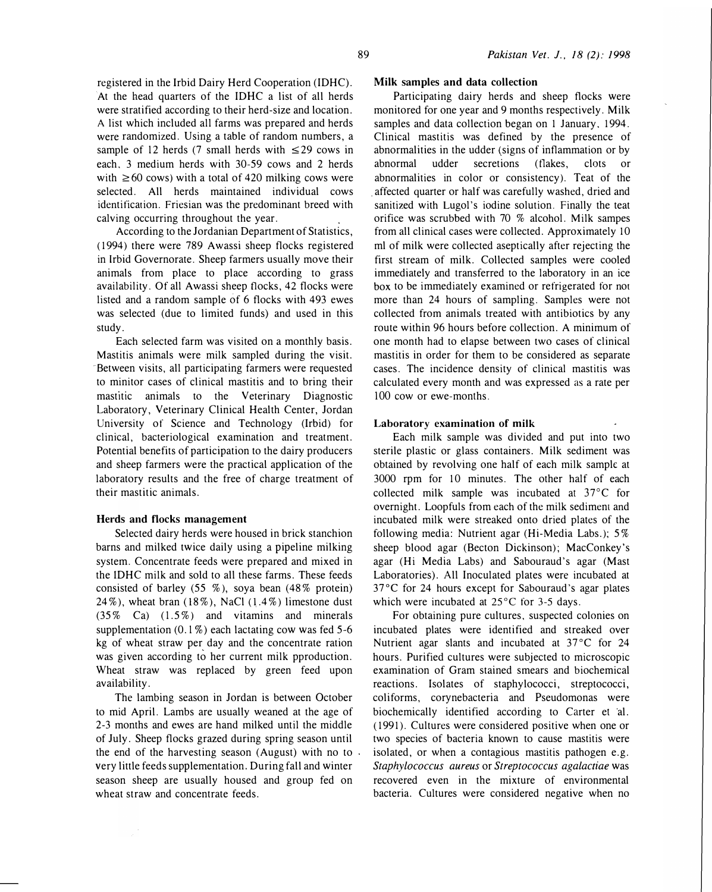registered in the lrbid Dairy Herd Cooperation (IDHC). At the head quarters of the IDHC a list of all herds were stratified according to their herd-size and location. A list which included all farms was prepared and herds were randomized. Using a table of random numbers, a sample of 12 herds (7 small herds with  $\leq$ 29 cows in each. 3 medium herds with 30-59 cows and 2 herds with  $\geq 60$  cows) with a total of 420 milking cows were selected. All herds maintained individual cows identification. Friesian was the predominant breed with calving occurring throughout the year.

According to the Jordanian Department of Statistics, ( 1994) there were 789 Awassi sheep flocks registered in lrbid Governorate. Sheep farmers usually move their animals from place to place according to grass availability. Of all Awassi sheep flocks, 42 flocks were listed and a random sample of 6 flocks with 493 ewes was selected (due to limited funds) and used in this study.

Each selected farm was visited on a monthly basis. Mastitis animals were milk sampled during the visit. Between visits, all participating farmers were requested to minitor cases of clinical mastitis and to bring their mastitic animals to the Veterinary Diagnostic Laboratory, Veterinary Clinical Health Center, Jordan University of Science and Technology (lrbid) for clinical, bacteriological examination and treatment. Potential benefits of participation to the dairy producers and sheep farmers were the practical application of the laboratory results and the free of charge treatment of their mastitic animals.

#### Herds and flocks management

Selected dairy herds were housed in brick stanchion barns and milked twice daily using a pipeline milking system. Concentrate feeds were prepared and mixed in the IDHC milk and sold to all these farms. These feeds consisted of barley  $(55 \%)$ , soya bean  $(48\% \text{ protein})$ 24%), wheat bran (18%), NaCl (1.4%) limestone dust  $(35\% \text{ Ca})$   $(1.5\%)$  and vitamins and minerals supplementation  $(0.1\%)$  each lactating cow was fed 5-6 kg of wheat straw per day and the concentrate ration was given according to her current milk pproduction. Wheat straw was replaced by green feed upon availability.

The lambing season in Jordan is between October to mid April. Lambs are usually weaned at the age of 2-3 months and ewes are hand milked until the middle of July. Sheep flocks grazed during spring season until the end of the harvesting season (August) with no to very little feeds supplementation. During fall and winter season sheep are usually housed and group fed on wheat straw and concentrate feeds.

### Milk samples and data collection

Participating dairy herds and sheep flocks were monitored for one year and 9 months respectively. Milk samples and data collection began on 1 January, 1994. Clinical mastitis was defined by the presence of abnormalities in the udder (signs of inflammation or by abnormal udder secretions (flakes, clots or abnormalities in color or consistency). Teat of the . affected quarter or half was carefully washed, dried and sanitized with Lugol's iodine solution. Finally the teat orifice was scrubbed with 70 % alcohol. Milk sampes from all clinical cases were collected. Approximately 10 ml of milk were collected aseptically after rejecting the first stream of milk. Collected samples were cooled immediately and transferred to the laboratory in an ice box to be immediately examined or refrigerated for not more than 24 hours of sampling. Samples were not collected from animals treated with antibiotics by any route within 96 hours before collection. A minimum of one month had to elapse between two cases of clinical mastitis in order for them to be considered as separate cases. The incidence density of clinical mastitis was calculated every month and was expressed as a rate per 100 cow or ewe-months.

#### Laboratory examination of milk

Each milk sample was divided and put into two sterile plastic or glass containers. Milk sediment was obtained by revolving one half of each milk sample at 3000 rpm for 10 minutes. The other half of each collected milk sample was incubated at 37°C for overnight. Loopfuls from each of the milk sediment and incubated milk were streaked onto dried plates of the following media: Nutrient agar (Hi-Media Labs.); 5% sheep blood agar (Becton Dickinson); MacConkey's agar (Hi Media Labs) and Sabouraud's agar (Mast Laboratories). All Inoculated plates were incubated at  $37^{\circ}$ C for 24 hours except for Sabouraud's agar plates which were incubated at  $25^{\circ}$ C for 3-5 days.

For obtaining pure cultures, suspected colonies on incubated plates were identified and streaked over Nutrient agar slants and incubated at  $37^{\circ}$ C for 24 hours. Purified cultures were subjected to microscopic examination of Gram stained smears and biochemical reactions. Isolates of staphylococci, streptococci, coliforms, corynebacteria and Pseudomonas were biochemically identified according to Carter et al. (1991). Cultures were considered positive when one or two species of bacteria known to cause mastitis were isolated, or when a contagious mastitis pathogen e.g. Staphylococcus aureus or Streptococcus agalactiae was recovered even in the mixture of environmental bacteria. Cultures were considered negative when no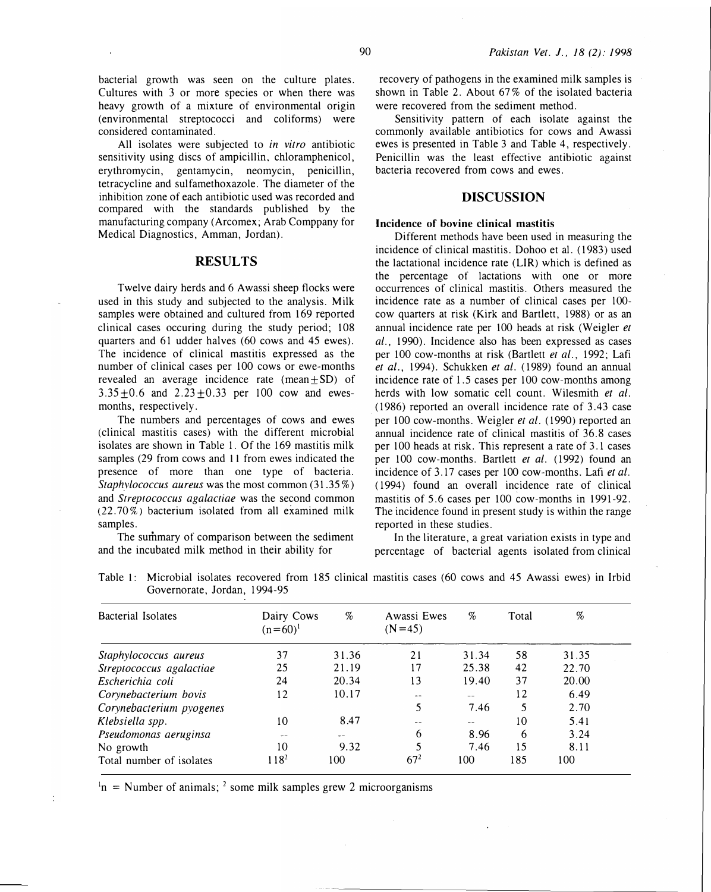considered contaminated. All isolates were subjected to in vitro antibiotic sensitivity using discs of ampicillin, chloramphenicol, erythromycin, gentamycin, neomycin, penicillin, tetracycline and sulfamethoxazole. The diameter of the inhibition zone of each antibiotic used was recorded and compared with the standards published by the manufacturing company (Arcomex; Arab Comppany for Medical Diagnostics, Amman, Jordan).

(environmental streptococci and coliforms) were

## RESULTS

Twelve dairy herds and 6 Awassi sheep flocks were used in this study and subjected to the analysis. Milk samples were obtained and cultured from 169 reported clinical cases occuring during the study period; 108 quarters and 61 udder halves (60 cows and 45 ewes). The incidence of clinical mastitis expressed as the number of clinical cases per 100 cows or ewe-months revealed an average incidence rate  $(mean \pm SD)$  of  $3.35+0.6$  and  $2.23+0.33$  per 100 cow and ewesmonths, respectively.

The numbers and percentages of cows and ewes (clinical mastitis cases) with the different microbial isolates are shown in Table 1. Of the 169 mastitis milk samples (29 from cows and 11 from ewes indicated the presence of more than one type of bacteria. Staphylococcus aureus was the most common  $(31.35\%)$ and Streptococcus agalactiae was the second common (22.70%) bacterium isolated from all examined milk samples.

The summary of comparison between the sediment and the incubated milk method in their ability for

recovery of pathogens in the examined milk samples is shown in Table 2. About 67% of the isolated bacteria were recovered from the sediment method.

Sensitivity pattern of each isolate against the commonly available antibiotics for cows and Awassi ewes is presented in Table 3 and Table 4, respectively. Penicillin was the least effective antibiotic against bacteria recovered from cows and ewes.

## DISCUSSION

#### Incidence of bovine clinical mastitis

Different methods have been used in measuring the incidence of clinical mastitis. Dohoo et al. ( 1983) used the lactational incidence rate (LIR) which is defined as the percentage of lactations with one or more occurrences of clinical mastitis. Others measured the incidence rate as a number of clinical cases per 100cow quarters at risk (Kirk and Bartlett, 1988) or as an annual incidence rate per 100 heads at risk (Weigler et al., 1990). Incidence also has been expressed as cases per 100 cow-months at risk (Bartlett et al., 1992; Lafi et al., 1994). Schukken et al. ( 1989) found an annual incidence rate of 1.5 cases per 100 cow-months among herds with low somatic cell count. Wilesmith et al. (1986) reported an overall incidence rate of 3.43 case per 100 cow-months. Weigler et al. ( 1990) reported an annual incidence rate of clinical mastitis of 36.8 cases per 100 heads at risk. This represent a rate of 3. 1 cases per 100 cow-months. Bartlett et al. (1992) found an incidence of 3.17 cases per 100 cow-months. Lafi et al. ( 1994) found an overall incidence rate of clinical mastitis of 5.6 cases per 100 cow-months in 1991-92. The incidence found in present study is within the range reported in these studies.

In the literature, a great variation exists in type and percentage of bacterial agents isolated from clinical

| Bacterial Isolates       | Dairy Cows<br>$(n=60)^1$ | %     | Awassi Ewes<br>$(N=45)$ | $\%$  | Total | %     |
|--------------------------|--------------------------|-------|-------------------------|-------|-------|-------|
| Staphylococcus aureus    | 37                       | 31.36 | 21                      | 31.34 | 58    | 31.35 |
| Streptococcus agalactiae | 25                       | 21.19 | 17                      | 25.38 | 42    | 22.70 |
| Escherichia coli         | 24                       | 20.34 | 13                      | 19.40 | 37    | 20.00 |
| Corynebacterium bovis    | 12                       | 10.17 |                         | --    | 12    | 6.49  |
| Corynebacterium pyogenes |                          |       | 5                       | 7.46  | 5     | 2.70  |
| Klebsiella spp.          | 10                       | 8.47  |                         | --    | 10    | 5.41  |
| Pseudomonas aeruginsa    |                          | --    | 6                       | 8.96  | 6     | 3.24  |
| No growth                | 10                       | 9.32  | 5                       | 7.46  | 15    | 8.11  |
| Total number of isolates | 118 <sup>2</sup>         | 100   | $67^{2}$                | 100   | 185   | 100   |

Table 1: Microbial isolates recovered from 185 clinical mastitis cases (60 cows and 45 Awassi ewes) in Irbid Governorate, Jordan, 1994-95

 $n_1$  = Number of animals; <sup>2</sup> some milk samples grew 2 microorganisms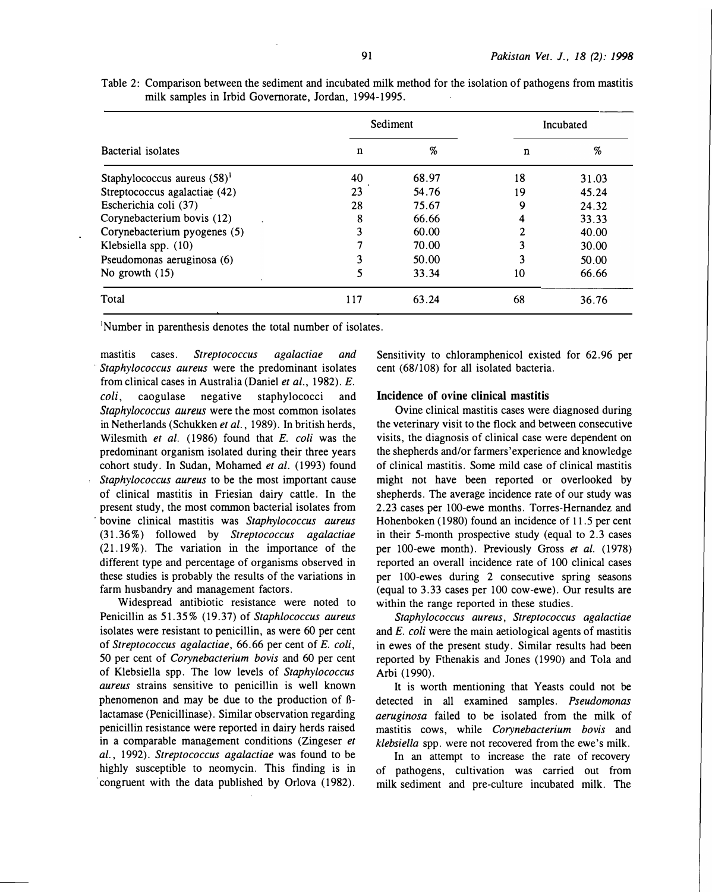| Table 2: Comparison between the sediment and incubated milk method for the isolation of pathogens from mastitis |  |  |  |  |  |  |
|-----------------------------------------------------------------------------------------------------------------|--|--|--|--|--|--|
| milk samples in Irbid Governorate, Jordan, 1994-1995.                                                           |  |  |  |  |  |  |

|                                |     | Sediment | Incubated |       |  |  |
|--------------------------------|-----|----------|-----------|-------|--|--|
| Bacterial isolates             | n   | %        | n         | %     |  |  |
| Staphylococcus aureus $(58)^1$ | 40  | 68.97    | 18        | 31.03 |  |  |
| Streptococcus agalactiae (42)  | 23  | 54.76    | 19        | 45.24 |  |  |
| Escherichia coli (37)          | 28  | 75.67    | 9         | 24.32 |  |  |
| Corynebacterium bovis (12)     | 8   | 66.66    |           | 33.33 |  |  |
| Corynebacterium pyogenes (5)   | 3   | 60.00    |           | 40.00 |  |  |
| Klebsiella spp. (10)           |     | 70.00    |           | 30.00 |  |  |
| Pseudomonas aeruginosa (6)     |     | 50.00    |           | 50.00 |  |  |
| No growth $(15)$               | 5   | 33.34    | 10        | 66.66 |  |  |
| Total                          | 117 | 63.24    | 68        | 36.76 |  |  |

<sup>1</sup>Number in parenthesis denotes the total number of isolates.

mastitis cases. Streptococcus agalactiae and Staphylococcus aureus were the predominant isolates from clinical cases in Australia (Daniel et al., 1982). E. coli, caogulase negative staphylococci and Staphylococcus aureus were the most common isolates in Netherlands (Schukken et al., 1989). In british herds, Wilesmith et al.  $(1986)$  found that E. coli was the predominant organism isolated during their three years cohort study. In Sudan, Mohamed et al. (1993) found Staphylococcus aureus to be the most important cause of clinical mastitis in Friesian dairy cattle. In the present study, the most common bacterial isolates from bovine clinical mastitis was Staphylococcus aureus (31.36%) followed by Streptococcus agalactiae (21. 19%). The variation in the importance of the different type and percentage of organisms observed in these studies is probably the results of the variations in farm husbandry and management factors.

Widespread antibiotic resistance were noted to Penicillin as 51.35% (19.37) of Staphlococcus aureus isolates were resistant to penicillin, as were 60 per cent of Streptococcus agalactiae, 66. 66 per cent of E. coli, 50 per cent of Corynebacterium bovis and 60 per cent of Klebsiella spp. The low levels of Staphylococcus aureus strains sensitive to penicillin is well known phenomenon and may be due to the production of Blactamase (Penicillinase). Similar observation regarding penicillin resistance were reported in dairy herds raised in a comparable management conditions (Zingeser et al., 1992). Streptococcus agalactiae was found to be highly susceptible to neomycin. This finding is in congruent with the data published by Orlova (1982).

Sensitivity to chloramphenicol existed for 62.96 per cent (68/108) for all isolated bacteria.

#### Incidence of ovine clinical mastitis

Ovine clinical mastitis cases were diagnosed during the veterinary visit to the flock and between consecutive visits, the diagnosis of clinical case were dependent on the shepherds and/or farmers'experience and knowledge of clinical mastitis. Some mild case of clinical mastitis might not have been reported or overlooked by shepherds. The average incidence rate of our study was 2.23 cases per 100-ewe months. Torres-Hernandez and Hohenboken (1980) found an incidence of 11.5 per cent in their 5-month prospective study (equal to 2.3 cases per 100-ewe month). Previously Gross et al. (1978) reported an overall incidence rate of 100 clinical cases per 100-ewes during 2 consecutive spring seasons (equal to 3.33 cases per 100 cow-ewe). Our results are within the range reported in these studies.

Staphylococcus aureus, Streptococcus agalactiae and  $E$ . coli were the main aetiological agents of mastitis in ewes of the present study. Similar results had been reported by Fthenakis and Jones ( 1990) and Tola and Arbi (1990).

It is worth mentioning that Yeasts could not be detected in all examined samples. Pseudomonas aeruginosa failed to be isolated from the milk of mastitis cows, while Corynebacterium bovis and klebsiella spp. were not recovered from the ewe's milk.

In an attempt to increase the rate of recovery of pathogens, cultivation was carried out from milk sediment and pre-culture incubated milk. The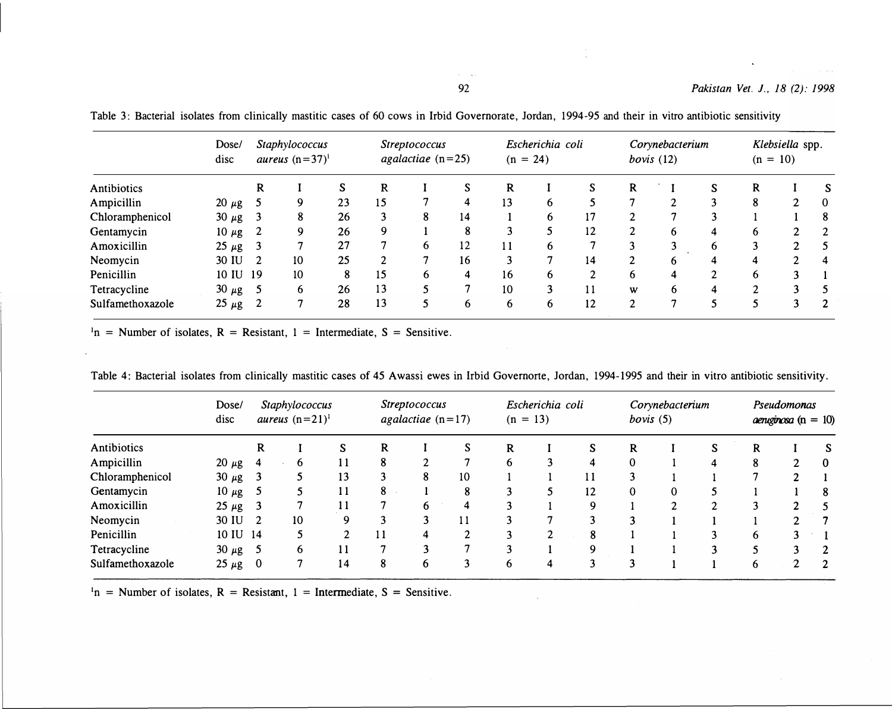$\hat{\mathcal{A}}$ 

| Antibiotics      | Dose/<br>disc |     | Staphylococcus<br>aureus $(n=37)^1$ |    | <i>Streptococcus</i><br>agalactiae $(n=25)$ |   |    | Escherichia coli<br>$(n = 24)$ |   |                | Corynebacterium<br>bovis $(12)$ |                |                | Klebsiella spp.<br>$(n = 10)$ |               |                |
|------------------|---------------|-----|-------------------------------------|----|---------------------------------------------|---|----|--------------------------------|---|----------------|---------------------------------|----------------|----------------|-------------------------------|---------------|----------------|
|                  |               | R   |                                     | S  | R                                           |   |    | R                              |   | S              | R                               |                | S              | R                             |               |                |
| Ampicillin       | $20 \mu g$    |     | 9                                   | 23 | 15                                          |   | 4  | 13                             | 6 | 5              |                                 | $\mathfrak{D}$ | 3              | 8                             | $\mathcal{L}$ | $\bf{0}$       |
| Chloramphenicol  | $30 \mu g$    | - 3 | 8                                   | 26 | 3                                           | 8 | 14 |                                | 6 | 17             | ി                               | 7              | 3              |                               |               | 8              |
| Gentamycin       | $10 \mu g$    |     | 9                                   | 26 | 9                                           |   | 8  | 3                              |   | 12             | $\overline{c}$                  | 6              | 4              | 6.                            | 2             | 2              |
| Amoxicillin      | $25 \mu g$    |     | 7                                   | 27 |                                             | 6 | 12 |                                | 6 | $\overline{7}$ |                                 |                | 6              |                               |               | -5             |
| Neomycin         | 30 IU         |     | 10                                  | 25 | $\overline{2}$                              |   | 16 | 3                              | 7 | 14             | 2                               | h              | 4              | 4                             |               | $\overline{4}$ |
| Penicillin       | 10 IU 19      |     | 10                                  | 8  | 15                                          | 6 | 4  | 16                             | 6 | $\overline{c}$ | 6                               | 4              | $\mathfrak{D}$ | 6                             | 3             |                |
| Tetracycline     | $30 \mu g$    |     | 6                                   | 26 | 13                                          |   |    | 10                             | 3 | 11             | W                               | 6              | 4              | C                             |               |                |
| Sulfamethoxazole | $25 \mu g$    |     | ┑                                   | 28 | 13                                          | 5 | 6  | 6                              | 6 | 12             | $\mathbf{2}$                    | 7              | 5              |                               | $\mathbf{3}$  | $\overline{2}$ |

Table 3: Bacterial isolates from clinically mastitic cases of 60 cows in Irbid Governorate, Jordan, 1994-95 and their in vitro antibiotic sensitivity

 $n_1$  = Number of isolates, R = Resistant, 1 = Intermediate, S = Sensitive.

| Antibiotics      | Dose/<br>disc | Staphylococcus<br>aureus $(n=21)^1$ |              |                |    | <i>Streptococcus</i><br>agalactiae $(n=17)$ |    |   | Escherichia coli<br>$(n = 13)$ |    |          | Corynebacterium<br>bovis(5) |   |   | Pseudomonas<br>$a$ enuginosa (n = 10) |                |  |
|------------------|---------------|-------------------------------------|--------------|----------------|----|---------------------------------------------|----|---|--------------------------------|----|----------|-----------------------------|---|---|---------------------------------------|----------------|--|
|                  |               | R                                   |              | S              | R  |                                             |    | R |                                | S  | R        |                             | S |   |                                       | <b>S</b>       |  |
| Ampicillin       | $20 \mu g$    | 4                                   | <sub>0</sub> | 11             | 8  |                                             |    | 6 | 3                              | 4  | $\Omega$ |                             | 4 | 8 |                                       | - 0            |  |
| Chloramphenicol  | 30 $\mu$ g    | $\overline{\mathbf{3}}$             |              | 13             |    | 8                                           | 10 |   |                                | 11 |          |                             |   |   |                                       |                |  |
| Gentamycin       | 10 $\mu$ g 5  |                                     |              | 11             | 8  |                                             | 8  |   |                                | 12 | $\Omega$ | $\Omega$                    |   |   |                                       | 8              |  |
| Amoxicillin      | $25 \mu g$ 3  |                                     |              |                |    | 6                                           | 4  |   |                                | 9  |          | ↑                           | ኅ |   |                                       |                |  |
| Neomycin         | 30 IU 2       |                                     | 10           | Q              |    | $\mathbf{3}$                                | 11 |   |                                | 3  |          |                             |   |   |                                       |                |  |
| Penicillin       | 10 IU 14      |                                     |              | $\overline{2}$ | 11 | 4                                           | C  | 3 | 2                              | 8  |          |                             | ٦ | 6 | 2                                     |                |  |
| Tetracycline     | $30 \mu g$ 5  |                                     | 6            | 11             |    |                                             | 7  | 3 |                                |    |          |                             | 3 |   | 3                                     | 2              |  |
| Sulfamethoxazole | $25 \mu g$    | $\bf{0}$                            | 7            | 14             | 8  | 6                                           | 3  | 6 | 4                              | 3  |          |                             |   | 6 | ∍                                     | $\overline{2}$ |  |

Table 4: Bacterial isolates from clinically mastitic cases of 45 Awassi ewes in lrbid Governorte, Jordan, 1994-1995 and their in vitro antibiotic sensitivity.

 $n =$  Number of isolates, R = Resistant, 1 = Intermediate, S = Sensitive.

 $\alpha = 1/2$  .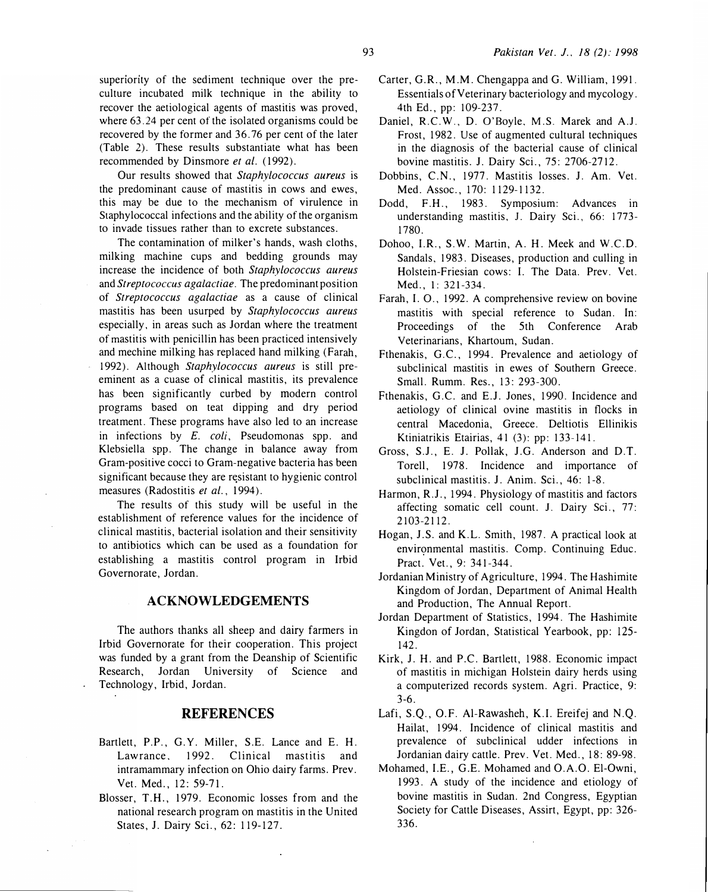superiority of the sediment technique over the preculture incubated milk technique in the ability to recover the aetiological agents of mastitis was proved, where 63.24 per cent of the isolated organisms could be recovered by the former and 36.76 per cent of the later (Table 2). These results substantiate what has been recommended by Dinsmore et al. (1992).

Our results showed that Staphylococcus aureus is the predominant cause of mastitis in cows and ewes, this may be due to the mechanism of virulence in Staphylococcal infections and the ability of the organism to invade tissues rather than to excrete substances.

The contamination of milker's hands, wash cloths, milking machine cups and bedding grounds may increase the incidence of both Staphylococcus aureus and Streptococcus agalactiae. The predominant position of Streptococcus agalactiae as a cause of clinical mastitis has been usurped by Staphylococcus aureus especially, in areas such as Jordan where the treatment of mastitis with penicillin has been practiced intensively and mechine milking has replaced hand milking (Farah, 1992). Although Staphylococcus aureus is still preeminent as a cuase of clinical mastitis, its prevalence has been significantly curbed by modern control programs based on teat dipping and dry period treatment. These programs have also led to an increase in infections by  $E$ . *coli*, Pseudomonas spp. and Klebsiella spp. The change in balance away from Gram-positive cocci to Gram-negative bacteria has been significant because they are resistant to hygienic control measures (Radostitis et al., 1994).

The results of this study will be useful in the establishment of reference values for the incidence of clinical mastitis, bacterial isolation and their sensitivity to antibiotics which can be used as a foundation for establishing a mastitis control program in lrbid Governorate, Jordan.

## ACKNOWLEDGEMENTS

The authors thanks all sheep and dairy farmers in Irbid Governorate for their cooperation. This project was funded by a grant from the Deanship of Scientific Research, Jordan University of Science and Technology, lrbid, Jordan.

# REFERENCES

- Bartlett, P.P., G.Y. Miller, S.E. Lance and E. H. Lawrance. 1992. Clinical mastitis and intramammary infection on Ohio dairy farms. Prev. Vet. Med., 12: 59-71.
- Blosser, T.H., 1979. Economic losses from and the national research program on mastitis in the United States, J. Dairy Sci., 62: 119-127.
- Carter, G.R., M.M. Chengappa and G. William, 1991. Essentials of Veterinary bacteriology and mycology. 4th Ed., pp: 109-237.
- Daniel, R.C.W., D. O'Boyle. M.S. Marek and A.J. Frost, 1982. Use of augmented cultural techniques in the diagnosis of the bacterial cause of clinical bovine mastitis. J. Dairy Sci., 75: 2706-2712.
- Dobbins, C.N., 1977. Mastitis losses. J. Am. Vet. Med. Assoc., 170: 1129-1132.
- Dodd, F.H., 1983. Symposium: Advances in understanding mastitis, 1. Dairy Sci., 66: 1773- 1780.
- Dohoo, I.R., S.W. Martin, A. H. Meek and W.C.D. Sandals, 1983. Diseases, production and culling in Holstein-Friesian cows: I. The Data. Prev. Vet. Med., 1: 321-334.
- Farah, I. 0., 1992. A comprehensive review on bovine mastitis with special reference to Sudan. In: Proceedings of the 5th Conference Arab Veterinarians, Khartoum, Sudan.
- Fthenakis, G.C., 1994. Prevalence and aetiology of subclinical mastitis in ewes of Southern Greece. Small. Rumm. Res., 13: 293-300.
- Fthenakis, G.C. and E.J. Jones, 1990. Incidence and aetiology of clinical ovine mastitis in flocks in central Macedonia, Greece. Deltiotis Ellinikis Ktiniatrikis Etairias, 41 (3): pp: 133-141.
- Gross, S.J., E. J. Pollak, J.G. Anderson and D.T. Torell, 1978. Incidence and importance of subclinical mastitis. J. Anim. Sci., 46: 1-8.
- Harmon, R.J., 1994. Physiology of mastitis and factors affecting somatic cell count. 1. Dairy Sci., 77: 2103-2112.
- Hogan, J.S. and K.L. Smith, 1987. A practical look at environmental mastitis. Comp. Continuing Educ. Pract. Vet., 9: 341-344.
- Jordanian Ministry of Agriculture, 1994. The Hashimite Kingdom of Jordan, Department of Animal Health and Production, The Annual Report.
- Jordan Department of Statistics, 1994. The Hashimite Kingdon of Jordan, Statistical Yearbook, pp: 125- 142.
- Kirk, J. H. and P.C. Bartlett, 1988. Economic impact of mastitis in michigan Holstein dairy herds using a computerized records system. Agri. Practice, 9: 3-6.
- Lafi, S.Q., O.F. Al-Rawasheh, K.I. Ereifej and N.Q. Hailat, 1994. Incidence of clinical mastitis and prevalence of subclinical udder infections in Jordanian dairy cattle. Prev. Vet. Med., 18: 89-98.
- Mohamed, I.E., G.E. Mohamed and O.A.O. El-Owni, 1993. A study of the incidence and etiology of bovine mastitis in Sudan. 2nd Congress, Egyptian Society for Cattle Diseases, Assirt, Egypt, pp: 326- 336.